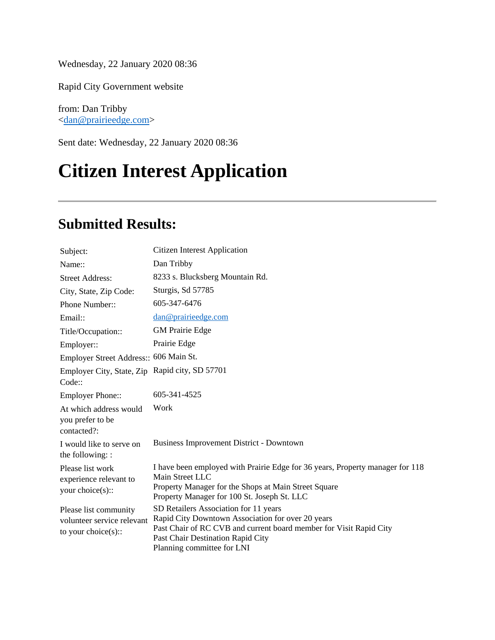Wednesday, 22 January 2020 08:36

Rapid City Government website

from: Dan Tribby <dan@prairieedge.com>

Sent date: Wednesday, 22 January 2020 08:36

# **Citizen Interest Application**

#### **Submitted Results:**

| Subject:                                                                       | <b>Citizen Interest Application</b>                                                                                                                                                                                                 |
|--------------------------------------------------------------------------------|-------------------------------------------------------------------------------------------------------------------------------------------------------------------------------------------------------------------------------------|
| Name::                                                                         | Dan Tribby                                                                                                                                                                                                                          |
| <b>Street Address:</b>                                                         | 8233 s. Blucksberg Mountain Rd.                                                                                                                                                                                                     |
| City, State, Zip Code:                                                         | Sturgis, Sd 57785                                                                                                                                                                                                                   |
| Phone Number::                                                                 | 605-347-6476                                                                                                                                                                                                                        |
| Email::                                                                        | dan@prairieedge.com                                                                                                                                                                                                                 |
| Title/Occupation::                                                             | <b>GM</b> Prairie Edge                                                                                                                                                                                                              |
| Employer::                                                                     | Prairie Edge                                                                                                                                                                                                                        |
| Employer Street Address:: 606 Main St.                                         |                                                                                                                                                                                                                                     |
| Employer City, State, Zip<br>Code::                                            | Rapid city, SD 57701                                                                                                                                                                                                                |
| <b>Employer Phone::</b>                                                        | 605-341-4525                                                                                                                                                                                                                        |
| At which address would<br>you prefer to be<br>contacted?:                      | Work                                                                                                                                                                                                                                |
| I would like to serve on<br>the following: :                                   | Business Improvement District - Downtown                                                                                                                                                                                            |
| Please list work<br>experience relevant to<br>your choice $(s)$ ::             | I have been employed with Prairie Edge for 36 years, Property manager for 118<br>Main Street LLC<br>Property Manager for the Shops at Main Street Square<br>Property Manager for 100 St. Joseph St. LLC                             |
| Please list community<br>volunteer service relevant<br>to your choice $(s)$ :: | SD Retailers Association for 11 years<br>Rapid City Downtown Association for over 20 years<br>Past Chair of RC CVB and current board member for Visit Rapid City<br>Past Chair Destination Rapid City<br>Planning committee for LNI |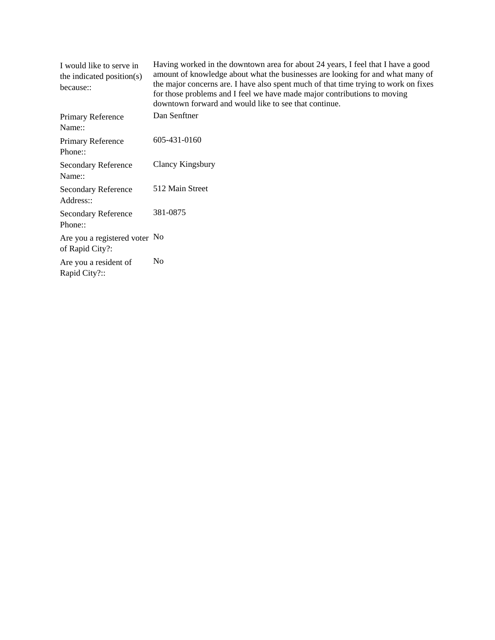| I would like to serve in<br>the indicated position(s)<br>because:: | Having worked in the downtown area for about 24 years, I feel that I have a good<br>amount of knowledge about what the businesses are looking for and what many of<br>the major concerns are. I have also spent much of that time trying to work on fixes<br>for those problems and I feel we have made major contributions to moving<br>downtown forward and would like to see that continue. |
|--------------------------------------------------------------------|------------------------------------------------------------------------------------------------------------------------------------------------------------------------------------------------------------------------------------------------------------------------------------------------------------------------------------------------------------------------------------------------|
| Primary Reference<br>Name::                                        | Dan Senftner                                                                                                                                                                                                                                                                                                                                                                                   |
| Primary Reference<br>Phone::                                       | 605-431-0160                                                                                                                                                                                                                                                                                                                                                                                   |
| <b>Secondary Reference</b><br>Name::                               | Clancy Kingsbury                                                                                                                                                                                                                                                                                                                                                                               |
| <b>Secondary Reference</b><br>Address::                            | 512 Main Street                                                                                                                                                                                                                                                                                                                                                                                |
| <b>Secondary Reference</b><br>Phone::                              | 381-0875                                                                                                                                                                                                                                                                                                                                                                                       |
| Are you a registered voter No<br>of Rapid City?:                   |                                                                                                                                                                                                                                                                                                                                                                                                |
| Are you a resident of<br>Rapid City?::                             | N <sub>0</sub>                                                                                                                                                                                                                                                                                                                                                                                 |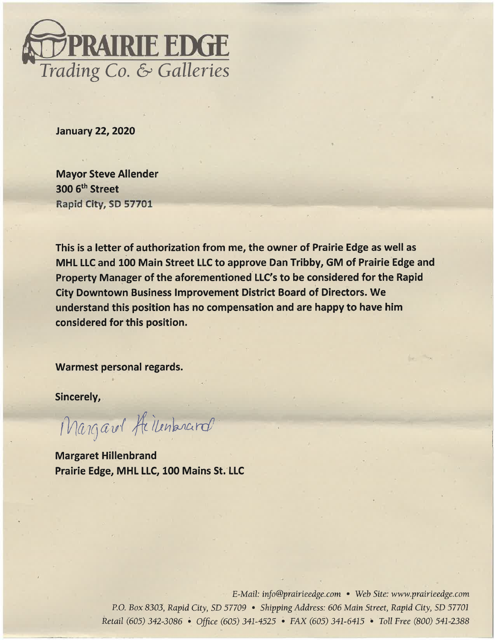

**January 22, 2020** 

**Mayor Steve Allender** 300 6<sup>th</sup> Street Rapid City, SD 57701

This is a letter of authorization from me, the owner of Prairie Edge as well as MHL LLC and 100 Main Street LLC to approve Dan Tribby, GM of Prairie Edge and Property Manager of the aforementioned LLC's to be considered for the Rapid **City Downtown Business Improvement District Board of Directors. We** understand this position has no compensation and are happy to have him considered for this position.

Warmest personal regards.

Sincerely,

Margarel Heilenbrard

**Margaret Hillenbrand** Prairie Edge, MHL LLC, 100 Mains St. LLC

> E-Mail: info@prairieedge.com • Web Site: www.prairieedge.com P.O. Box 8303, Rapid City, SD 57709 • Shipping Address: 606 Main Street, Rapid City, SD 57701 Retail (605) 342-3086 • Office (605) 341-4525 • FAX (605) 341-6415 • Toll Free (800) 541-2388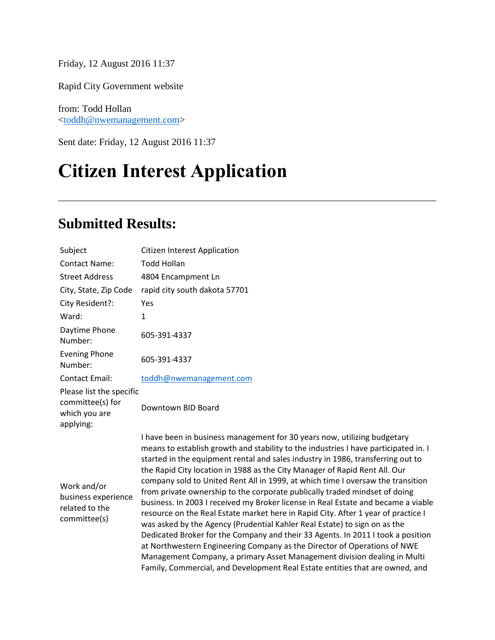Friday, 12 August 2016 11:37

Rapid City Government website

from: Todd Hollan [<toddh@nwemanagement.com>](mailto:toddh@nwemanagement.com)

Sent date: Friday, 12 August 2016 11:37

# **Citizen Interest Application**

### **Submitted Results:**

| Subject                                                                    | <b>Citizen Interest Application</b>                                                                                                                                                                                                                                                                                                                                                                                                                                                                                                                                                                                                                                                                                                                                                                                                                                                                                                                                                                                                                                                 |
|----------------------------------------------------------------------------|-------------------------------------------------------------------------------------------------------------------------------------------------------------------------------------------------------------------------------------------------------------------------------------------------------------------------------------------------------------------------------------------------------------------------------------------------------------------------------------------------------------------------------------------------------------------------------------------------------------------------------------------------------------------------------------------------------------------------------------------------------------------------------------------------------------------------------------------------------------------------------------------------------------------------------------------------------------------------------------------------------------------------------------------------------------------------------------|
| <b>Contact Name:</b>                                                       | <b>Todd Hollan</b>                                                                                                                                                                                                                                                                                                                                                                                                                                                                                                                                                                                                                                                                                                                                                                                                                                                                                                                                                                                                                                                                  |
| <b>Street Address</b>                                                      | 4804 Encampment Ln                                                                                                                                                                                                                                                                                                                                                                                                                                                                                                                                                                                                                                                                                                                                                                                                                                                                                                                                                                                                                                                                  |
| City, State, Zip Code                                                      | rapid city south dakota 57701                                                                                                                                                                                                                                                                                                                                                                                                                                                                                                                                                                                                                                                                                                                                                                                                                                                                                                                                                                                                                                                       |
| City Resident?:                                                            | Yes                                                                                                                                                                                                                                                                                                                                                                                                                                                                                                                                                                                                                                                                                                                                                                                                                                                                                                                                                                                                                                                                                 |
| Ward:                                                                      | 1                                                                                                                                                                                                                                                                                                                                                                                                                                                                                                                                                                                                                                                                                                                                                                                                                                                                                                                                                                                                                                                                                   |
| Daytime Phone<br>Number:                                                   | 605-391-4337                                                                                                                                                                                                                                                                                                                                                                                                                                                                                                                                                                                                                                                                                                                                                                                                                                                                                                                                                                                                                                                                        |
| <b>Evening Phone</b><br>Number:                                            | 605-391-4337                                                                                                                                                                                                                                                                                                                                                                                                                                                                                                                                                                                                                                                                                                                                                                                                                                                                                                                                                                                                                                                                        |
| <b>Contact Email:</b>                                                      | toddh@nwemanagement.com                                                                                                                                                                                                                                                                                                                                                                                                                                                                                                                                                                                                                                                                                                                                                                                                                                                                                                                                                                                                                                                             |
| Please list the specific<br>committee(s) for<br>which you are<br>applying: | Downtown BID Board                                                                                                                                                                                                                                                                                                                                                                                                                                                                                                                                                                                                                                                                                                                                                                                                                                                                                                                                                                                                                                                                  |
| Work and/or<br>business experience<br>related to the<br>committee(s)       | I have been in business management for 30 years now, utilizing budgetary<br>means to establish growth and stability to the industries I have participated in. I<br>started in the equipment rental and sales industry in 1986, transferring out to<br>the Rapid City location in 1988 as the City Manager of Rapid Rent All. Our<br>company sold to United Rent All in 1999, at which time I oversaw the transition<br>from private ownership to the corporate publically traded mindset of doing<br>business. In 2003 I received my Broker license in Real Estate and became a viable<br>resource on the Real Estate market here in Rapid City. After 1 year of practice I<br>was asked by the Agency (Prudential Kahler Real Estate) to sign on as the<br>Dedicated Broker for the Company and their 33 Agents. In 2011 I took a position<br>at Northwestern Engineering Company as the Director of Operations of NWE<br>Management Company, a primary Asset Management division dealing in Multi<br>Family, Commercial, and Development Real Estate entities that are owned, and |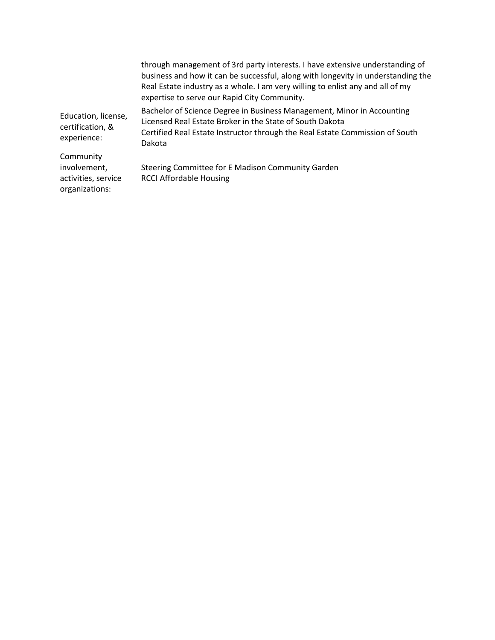|                                                                    | through management of 3rd party interests. I have extensive understanding of<br>business and how it can be successful, along with longevity in understanding the<br>Real Estate industry as a whole. I am very willing to enlist any and all of my<br>expertise to serve our Rapid City Community. |
|--------------------------------------------------------------------|----------------------------------------------------------------------------------------------------------------------------------------------------------------------------------------------------------------------------------------------------------------------------------------------------|
| Education, license,<br>certification, &<br>experience:             | Bachelor of Science Degree in Business Management, Minor in Accounting<br>Licensed Real Estate Broker in the State of South Dakota<br>Certified Real Estate Instructor through the Real Estate Commission of South<br>Dakota                                                                       |
| Community<br>involvement,<br>activities, service<br>organizations: | Steering Committee for E Madison Community Garden<br><b>RCCI Affordable Housing</b>                                                                                                                                                                                                                |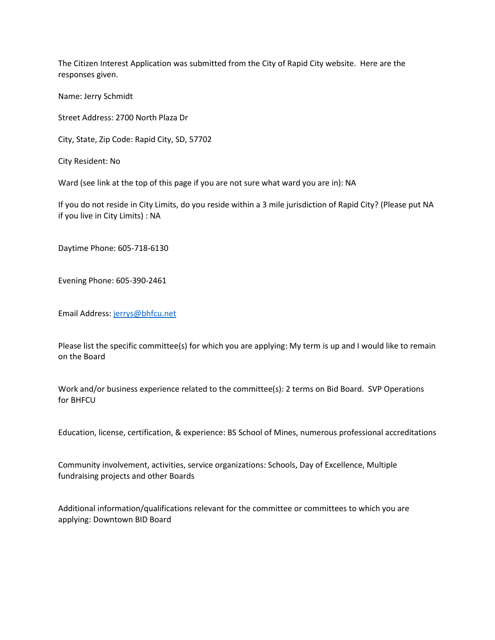The Citizen Interest Application was submitted from the City of Rapid City website. Here are the responses given.

Name: Jerry Schmidt

Street Address: 2700 North Plaza Dr

City, State, Zip Code: Rapid City, SD, 57702

City Resident: No

Ward (see link at the top of this page if you are not sure what ward you are in): NA

If you do not reside in City Limits, do you reside within a 3 mile jurisdiction of Rapid City? (Please put NA if you live in City Limits) : NA

Daytime Phone: 605-718-6130

Evening Phone: 605-390-2461

Email Address: [jerrys@bhfcu.net](mailto:jerrys@bhfcu.net)

Please list the specific committee(s) for which you are applying: My term is up and I would like to remain on the Board

Work and/or business experience related to the committee(s): 2 terms on Bid Board. SVP Operations for BHFCU

Education, license, certification, & experience: BS School of Mines, numerous professional accreditations

Community involvement, activities, service organizations: Schools, Day of Excellence, Multiple fundraising projects and other Boards

Additional information/qualifications relevant for the committee or committees to which you are applying: Downtown BID Board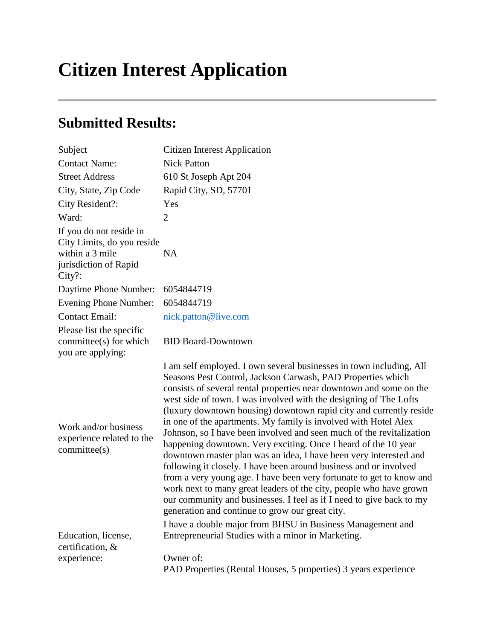# **Citizen Interest Application**

#### **Submitted Results:**

| Subject                                                                                                        | <b>Citizen Interest Application</b>                                                                                                                                                                                                                                                                                                                                                                                                                                                                                                                                                                                                                                                                                                                                                                                                                                                                                                                                                                                                                |
|----------------------------------------------------------------------------------------------------------------|----------------------------------------------------------------------------------------------------------------------------------------------------------------------------------------------------------------------------------------------------------------------------------------------------------------------------------------------------------------------------------------------------------------------------------------------------------------------------------------------------------------------------------------------------------------------------------------------------------------------------------------------------------------------------------------------------------------------------------------------------------------------------------------------------------------------------------------------------------------------------------------------------------------------------------------------------------------------------------------------------------------------------------------------------|
| <b>Contact Name:</b>                                                                                           | <b>Nick Patton</b>                                                                                                                                                                                                                                                                                                                                                                                                                                                                                                                                                                                                                                                                                                                                                                                                                                                                                                                                                                                                                                 |
| <b>Street Address</b>                                                                                          | 610 St Joseph Apt 204                                                                                                                                                                                                                                                                                                                                                                                                                                                                                                                                                                                                                                                                                                                                                                                                                                                                                                                                                                                                                              |
| City, State, Zip Code                                                                                          | Rapid City, SD, 57701                                                                                                                                                                                                                                                                                                                                                                                                                                                                                                                                                                                                                                                                                                                                                                                                                                                                                                                                                                                                                              |
| City Resident?:                                                                                                | Yes                                                                                                                                                                                                                                                                                                                                                                                                                                                                                                                                                                                                                                                                                                                                                                                                                                                                                                                                                                                                                                                |
| Ward:                                                                                                          | $\overline{2}$                                                                                                                                                                                                                                                                                                                                                                                                                                                                                                                                                                                                                                                                                                                                                                                                                                                                                                                                                                                                                                     |
| If you do not reside in<br>City Limits, do you reside<br>within a 3 mile<br>jurisdiction of Rapid<br>$City$ ?: | <b>NA</b>                                                                                                                                                                                                                                                                                                                                                                                                                                                                                                                                                                                                                                                                                                                                                                                                                                                                                                                                                                                                                                          |
| Daytime Phone Number:                                                                                          | 6054844719                                                                                                                                                                                                                                                                                                                                                                                                                                                                                                                                                                                                                                                                                                                                                                                                                                                                                                                                                                                                                                         |
| Evening Phone Number:                                                                                          | 6054844719                                                                                                                                                                                                                                                                                                                                                                                                                                                                                                                                                                                                                                                                                                                                                                                                                                                                                                                                                                                                                                         |
| <b>Contact Email:</b>                                                                                          | nick.patton@live.com                                                                                                                                                                                                                                                                                                                                                                                                                                                                                                                                                                                                                                                                                                                                                                                                                                                                                                                                                                                                                               |
| Please list the specific<br>committee(s) for which<br>you are applying:                                        | <b>BID Board-Downtown</b>                                                                                                                                                                                                                                                                                                                                                                                                                                                                                                                                                                                                                                                                                                                                                                                                                                                                                                                                                                                                                          |
| Work and/or business<br>experience related to the<br>committee(s)                                              | I am self employed. I own several businesses in town including, All<br>Seasons Pest Control, Jackson Carwash, PAD Properties which<br>consists of several rental properties near downtown and some on the<br>west side of town. I was involved with the designing of The Lofts<br>(luxury downtown housing) downtown rapid city and currently reside<br>in one of the apartments. My family is involved with Hotel Alex<br>Johnson, so I have been involved and seen much of the revitalization<br>happening downtown. Very exciting. Once I heard of the 10 year<br>downtown master plan was an idea, I have been very interested and<br>following it closely. I have been around business and or involved<br>from a very young age. I have been very fortunate to get to know and<br>work next to many great leaders of the city, people who have grown<br>our community and businesses. I feel as if I need to give back to my<br>generation and continue to grow our great city.<br>I have a double major from BHSU in Business Management and |
| Education, license,                                                                                            | Entrepreneurial Studies with a minor in Marketing.                                                                                                                                                                                                                                                                                                                                                                                                                                                                                                                                                                                                                                                                                                                                                                                                                                                                                                                                                                                                 |
| certification, &                                                                                               |                                                                                                                                                                                                                                                                                                                                                                                                                                                                                                                                                                                                                                                                                                                                                                                                                                                                                                                                                                                                                                                    |
| experience:                                                                                                    | Owner of:<br>PAD Properties (Rental Houses, 5 properties) 3 years experience                                                                                                                                                                                                                                                                                                                                                                                                                                                                                                                                                                                                                                                                                                                                                                                                                                                                                                                                                                       |
|                                                                                                                |                                                                                                                                                                                                                                                                                                                                                                                                                                                                                                                                                                                                                                                                                                                                                                                                                                                                                                                                                                                                                                                    |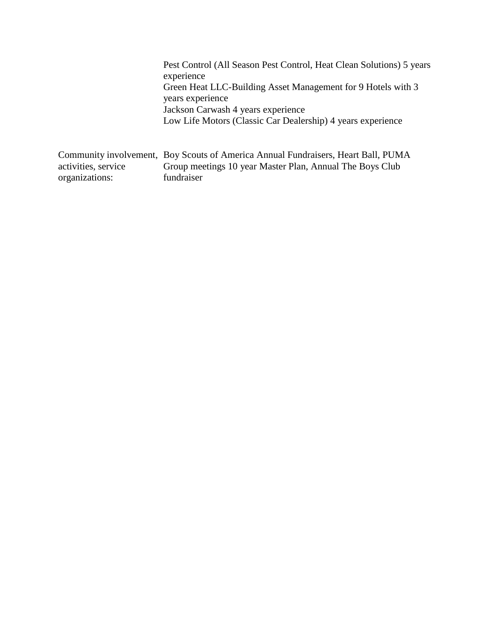Pest Control (All Season Pest Control, Heat Clean Solutions) 5 years experience Green Heat LLC-Building Asset Management for 9 Hotels with 3 years experience Jackson Carwash 4 years experience Low Life Motors (Classic Car Dealership) 4 years experience

Community involvement, Boy Scouts of America Annual Fundraisers, Heart Ball, PUMA activities, service organizations: Group meetings 10 year Master Plan, Annual The Boys Club fundraiser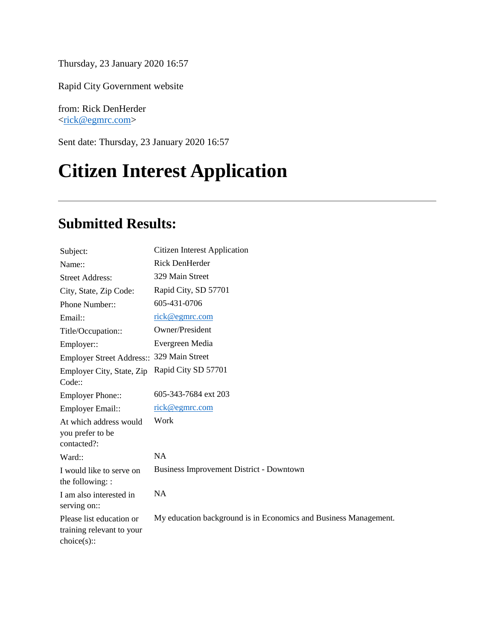Thursday, 23 January 2020 16:57

Rapid City Government website

from: Rick DenHerder [<rick@egmrc.com>](mailto:rick@egmrc.com)

Sent date: Thursday, 23 January 2020 16:57

## **Citizen Interest Application**

#### **Submitted Results:**

| Subject:                                                            | <b>Citizen Interest Application</b>                              |
|---------------------------------------------------------------------|------------------------------------------------------------------|
| Name::                                                              | Rick DenHerder                                                   |
| <b>Street Address:</b>                                              | 329 Main Street                                                  |
| City, State, Zip Code:                                              | Rapid City, SD 57701                                             |
| Phone Number::                                                      | 605-431-0706                                                     |
| Email::                                                             | <u>rick@egmrc.com</u>                                            |
| Title/Occupation::                                                  | Owner/President                                                  |
| Employer::                                                          | Evergreen Media                                                  |
| Employer Street Address:: 329 Main Street                           |                                                                  |
| Employer City, State, Zip<br>Code::                                 | Rapid City SD 57701                                              |
| <b>Employer Phone::</b>                                             | 605-343-7684 ext 203                                             |
| Employer Email::                                                    | <u>rick@egmrc.com</u>                                            |
| At which address would<br>you prefer to be<br>contacted?:           | Work                                                             |
| Ward::                                                              | NA                                                               |
| I would like to serve on<br>the following: :                        | <b>Business Improvement District - Downtown</b>                  |
| I am also interested in<br>serving on::                             | <b>NA</b>                                                        |
| Please list education or<br>training relevant to your<br>choice(s): | My education background is in Economics and Business Management. |